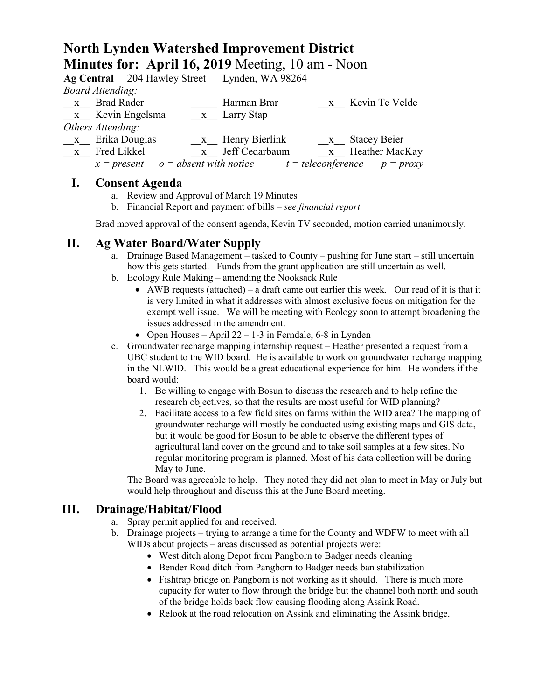# **North Lynden Watershed Improvement District Minutes for: April 16, 2019** Meeting, 10 am - Noon

|                         | Ag Central 204 Hawley Street Lynden, WA 98264                           |                  |
|-------------------------|-------------------------------------------------------------------------|------------------|
| <b>Board Attending:</b> |                                                                         |                  |
| x Brad Rader            | Harman Brar                                                             | x Kevin Te Velde |
| x Kevin Engelsma        | x Larry Stap                                                            |                  |
| Others Attending:       |                                                                         |                  |
| x Erika Douglas         | x Henry Bierlink                                                        | x Stacey Beier   |
| x Fred Likkel           | x Jeff Cedarbaum                                                        | x Heather MacKay |
|                         | $x = present$ $o = absent with notice$ $t = teleconference$ $p = proxy$ |                  |

### **I. Consent Agenda**

- a. Review and Approval of March 19 Minutes
- b. Financial Report and payment of bills *see financial report*

Brad moved approval of the consent agenda, Kevin TV seconded, motion carried unanimously.

## **II. Ag Water Board/Water Supply**

- a. Drainage Based Management tasked to County pushing for June start still uncertain how this gets started. Funds from the grant application are still uncertain as well.
- b. Ecology Rule Making amending the Nooksack Rule
	- AWB requests (attached) a draft came out earlier this week. Our read of it is that it is very limited in what it addresses with almost exclusive focus on mitigation for the exempt well issue. We will be meeting with Ecology soon to attempt broadening the issues addressed in the amendment.
	- Open Houses April  $22 1-3$  in Ferndale, 6-8 in Lynden
- c. Groundwater recharge mapping internship request Heather presented a request from a UBC student to the WID board. He is available to work on groundwater recharge mapping in the NLWID. This would be a great educational experience for him. He wonders if the board would:
	- 1. Be willing to engage with Bosun to discuss the research and to help refine the research objectives, so that the results are most useful for WID planning?
	- 2. Facilitate access to a few field sites on farms within the WID area? The mapping of groundwater recharge will mostly be conducted using existing maps and GIS data, but it would be good for Bosun to be able to observe the different types of agricultural land cover on the ground and to take soil samples at a few sites. No regular monitoring program is planned. Most of his data collection will be during May to June.

The Board was agreeable to help. They noted they did not plan to meet in May or July but would help throughout and discuss this at the June Board meeting.

### **III. Drainage/Habitat/Flood**

- a. Spray permit applied for and received.
- b. Drainage projects trying to arrange a time for the County and WDFW to meet with all WIDs about projects – areas discussed as potential projects were:
	- West ditch along Depot from Pangborn to Badger needs cleaning
	- Bender Road ditch from Pangborn to Badger needs ban stabilization
	- Fishtrap bridge on Pangborn is not working as it should. There is much more capacity for water to flow through the bridge but the channel both north and south of the bridge holds back flow causing flooding along Assink Road.
	- Relook at the road relocation on Assink and eliminating the Assink bridge.